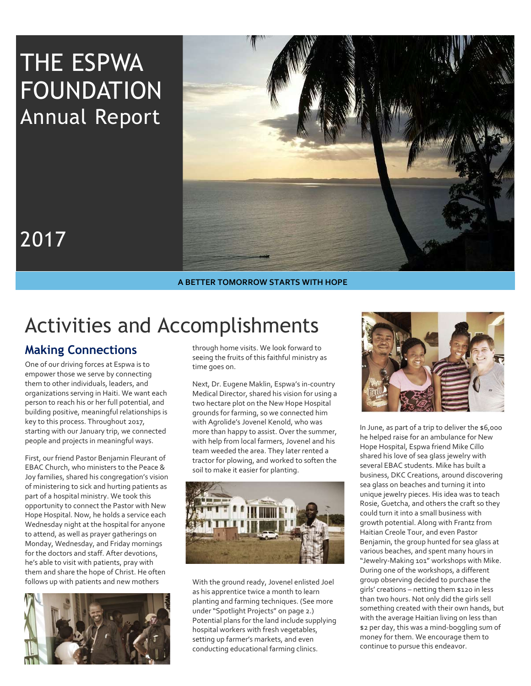# THE ESPWA FOUNDATION Annual Report



# 2017

A BETTER TOMORROW STARTS WITH HOPE

# Activities and Accomplishments

# Making Connections

One of our driving forces at Espwa is to empower those we serve by connecting them to other individuals, leaders, and organizations serving in Haiti. We want each person to reach his or her full potential, and building positive, meaningful relationships is key to this process. Throughout 2017, starting with our January trip, we connected people and projects in meaningful ways.

First, our friend Pastor Benjamin Fleurant of EBAC Church, who ministers to the Peace & Joy families, shared his congregation's vision of ministering to sick and hurting patients as part of a hospital ministry. We took this opportunity to connect the Pastor with New Hope Hospital. Now, he holds a service each Wednesday night at the hospital for anyone to attend, as well as prayer gatherings on Monday, Wednesday, and Friday mornings for the doctors and staff. After devotions, he's able to visit with patients, pray with them and share the hope of Christ. He often follows up with patients and new mothers



through home visits. We look forward to seeing the fruits of this faithful ministry as time goes on.

Next, Dr. Eugene Maklin, Espwa's in-country Medical Director, shared his vision for using a two hectare plot on the New Hope Hospital grounds for farming, so we connected him with Agrolide's Jovenel Kenold, who was more than happy to assist. Over the summer, with help from local farmers, Jovenel and his team weeded the area. They later rented a tractor for plowing, and worked to soften the soil to make it easier for planting.



With the ground ready, Jovenel enlisted Joel as his apprentice twice a month to learn planting and farming techniques. (See more under "Spotlight Projects" on page 2.) Potential plans for the land include supplying hospital workers with fresh vegetables, setting up farmer's markets, and even conducting educational farming clinics.



In June, as part of a trip to deliver the \$6,000 he helped raise for an ambulance for New Hope Hospital, Espwa friend Mike Cillo shared his love of sea glass jewelry with several EBAC students. Mike has built a business, DKC Creations, around discovering sea glass on beaches and turning it into unique jewelry pieces. His idea was to teach Rosie, Guetcha, and others the craft so they could turn it into a small business with growth potential. Along with Frantz from Haitian Creole Tour, and even Pastor Benjamin, the group hunted for sea glass at various beaches, and spent many hours in "Jewelry-Making 101" workshops with Mike. During one of the workshops, a different group observing decided to purchase the girls' creations – netting them \$120 in less than two hours. Not only did the girls sell something created with their own hands, but with the average Haitian living on less than \$2 per day, this was a mind-boggling sum of money for them. We encourage them to continue to pursue this endeavor.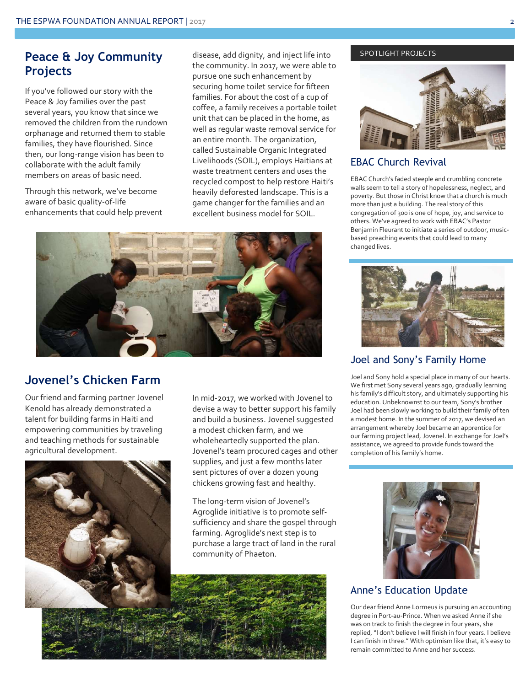## Peace & Joy Community Projects

If you've followed our story with the Peace & Joy families over the past several years, you know that since we removed the children from the rundown orphanage and returned them to stable families, they have flourished. Since then, our long-range vision has been to collaborate with the adult family members on areas of basic need.

Through this network, we've become aware of basic quality-of-life enhancements that could help prevent disease, add dignity, and inject life into the community. In 2017, we were able to pursue one such enhancement by securing home toilet service for fifteen families. For about the cost of a cup of coffee, a family receives a portable toilet unit that can be placed in the home, as well as regular waste removal service for an entire month. The organization, called Sustainable Organic Integrated Livelihoods (SOIL), employs Haitians at waste treatment centers and uses the recycled compost to help restore Haiti's heavily deforested landscape. This is a game changer for the families and an excellent business model for SOIL.



## Jovenel's Chicken Farm

Our friend and farming partner Jovenel Kenold has already demonstrated a talent for building farms in Haiti and empowering communities by traveling and teaching methods for sustainable agricultural development.



In mid-2017, we worked with Jovenel to devise a way to better support his family and build a business. Jovenel suggested a modest chicken farm, and we wholeheartedly supported the plan. Jovenel's team procured cages and other supplies, and just a few months later sent pictures of over a dozen young chickens growing fast and healthy.

The long-term vision of Jovenel's Agroglide initiative is to promote selfsufficiency and share the gospel through farming. Agroglide's next step is to purchase a large tract of land in the rural community of Phaeton.

# SPOTLIGHT PROJECTS



## EBAC Church Revival

EBAC Church's faded steeple and crumbling concrete walls seem to tell a story of hopelessness, neglect, and poverty. But those in Christ know that a church is much more than just a building. The real story of this congregation of 300 is one of hope, joy, and service to others. We've agreed to work with EBAC's Pastor Benjamin Fleurant to initiate a series of outdoor, musicbased preaching events that could lead to many changed lives.



## Joel and Sony's Family Home

Joel and Sony hold a special place in many of our hearts. We first met Sony several years ago, gradually learning his family's difficult story, and ultimately supporting his education. Unbeknownst to our team, Sony's brother Joel had been slowly working to build their family of ten a modest home. In the summer of 2017, we devised an arrangement whereby Joel became an apprentice for our farming project lead, Jovenel. In exchange for Joel's assistance, we agreed to provide funds toward the completion of his family's home.



### Anne's Education Update

Our dear friend Anne Lormeus is pursuing an accounting degree in Port-au-Prince. When we asked Anne if she was on track to finish the degree in four years, she replied, "I don't believe I will finish in four years. I believe I can finish in three." With optimism like that, it's easy to remain committed to Anne and her success.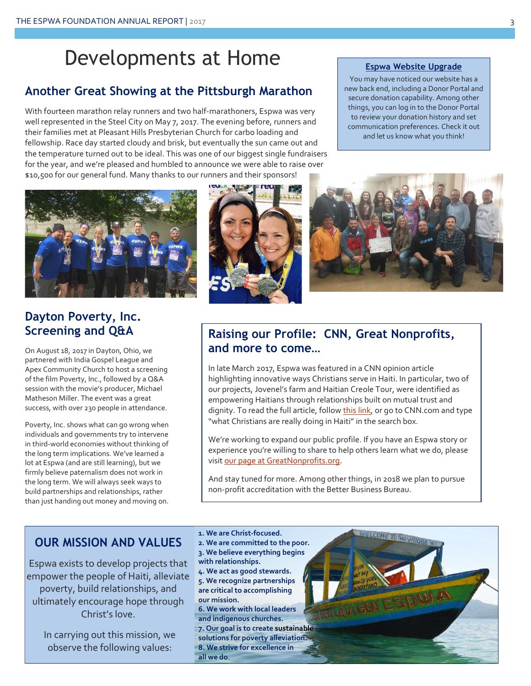# Developments at Home

# Another Great Showing at the Pittsburgh Marathon

With fourteen marathon relay runners and two half-marathoners, Espwa was very well represented in the Steel City on May 7, 2017. The evening before, runners and their families met at Pleasant Hills Presbyterian Church for carbo loading and fellowship. Race day started cloudy and brisk, but eventually the sun came out and the temperature turned out to be ideal. This was one of our biggest single fundraisers for the year, and we're pleased and humbled to announce we were able to raise over \$10,500 for our general fund. Many thanks to our runners and their sponsors!

#### Espwa Website Upgrade

You may have noticed our website has a new back end, including a Donor Portal and secure donation capability. Among other things, you can log in to the Donor Portal to review your donation history and set communication preferences. Check it out and let us know what you think!



# Dayton Poverty, Inc. Screening and Q&A

On August 18, 2017 in Dayton, Ohio, we partnered with India Gospel League and Apex Community Church to host a screening of the film Poverty, Inc., followed by a Q&A session with the movie's producer, Michael Matheson Miller. The event was a great success, with over 230 people in attendance.

Poverty, Inc. shows what can go wrong when individuals and governments try to intervene in third-world economies without thinking of the long term implications. We've learned a lot at Espwa (and are still learning), but we firmly believe paternalism does not work in the long term. We will always seek ways to build partnerships and relationships, rather than just handing out money and moving on.





## Raising our Profile: CNN, Great Nonprofits, and more to come…

In late March 2017, Espwa was featured in a CNN opinion article highlighting innovative ways Christians serve in Haiti. In particular, two of our projects, Jovenel's farm and Haitian Creole Tour, were identified as empowering Haitians through relationships built on mutual trust and dignity. To read the full article, follow this link, or go to CNN.com and type "what Christians are really doing in Haiti" in the search box.

We're working to expand our public profile. If you have an Espwa story or experience you're willing to share to help others learn what we do, please visit our page at GreatNonprofits.org.

And stay tuned for more. Among other things, in 2018 we plan to pursue non-profit accreditation with the Better Business Bureau.

## OUR MISSION AND VALUES

Espwa exists to develop projects that empower the people of Haiti, alleviate poverty, build relationships, and ultimately encourage hope through Christ's love.

> In carrying out this mission, we observe the following values:

2. We are committed to the poor. 3. We believe everything begins with relationships. 4. We act as good stewards. 5. We recognize partnerships are critical to accomplishing our mission. 6. We work with local leaders and indigenous churches. 7. Our goal is to create sustainable solutions for poverty alleviation.

1. We are Christ-focused.

- 8. We strive for excellence in
- all we do.

COME TO THE VILLO